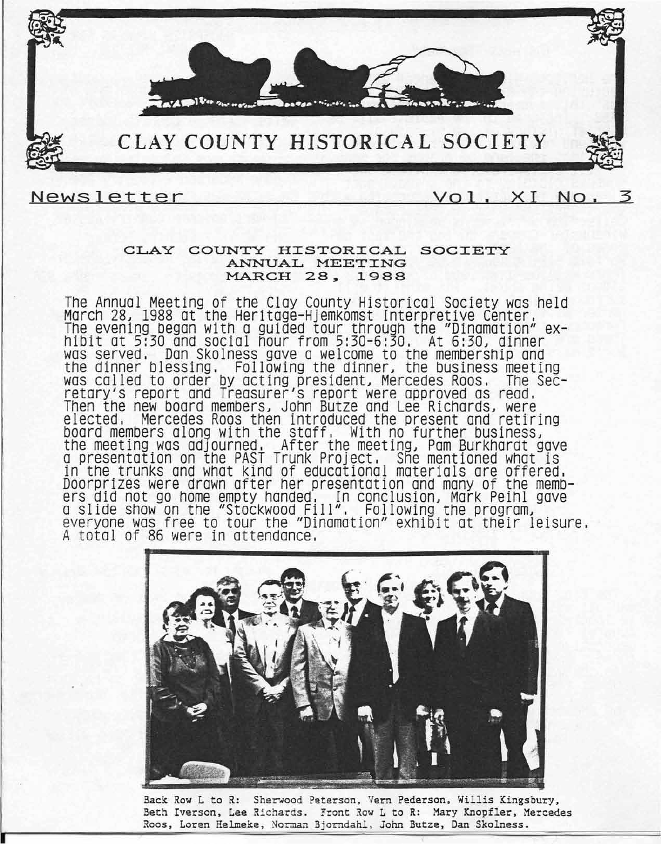

### Newsletter

# Vol. XI No.

#### CLAY COUNTY HISTORICAL SOCIETY ANNUAL MEETING MARCH 28, 1988

The Annual Meeting of the Clay County Historical Society was held March *28J* 1988 at the Heritage-Hjemkomst Interpretive Center. The evening began with a guided tour through the "Dinamation" exhibit at 5:30 and social hour from 5:30-6:30. At *6:30J* dinner was served. Dan Skolness gave a welcome to the membership and the dinner blessing. Following the dinner, the business meeting was called to order by acting president, Mercedes Roos, The Secretary's report and Treasurer's report were approved as read. Then the new board members, John Butze and Lee Richards, were elected, Mercedes Roos then introduced the present and retiring board members along with the staff. With no further business, the meeting was adjourned. After the meeting, Pam Burkharat gave a presentation on the PAST Trunk Project, She mentioned what is in the trunks and what kind of educational materials are offered. Doorprizes were drawn after her presentation and many of the members did not go home empty handed. In conclusion, Mark Peihl gave a slide show on the "Stockwood Fill". Following the program, everyone was free to tour the "Dinamation" exhibit at their leisure. <sup>A</sup> total of 86 were in attendance,



Back Row L to R: Sherwood Peterson, Vern Pederson, Willis Kingsbury, Beth Iverson, Lee Richards. Front Row L to R: Mary Knopfler, Mercedes Roos, Loren Helmeke, Norman Bjorndahl. John Butze, Dan Skolness.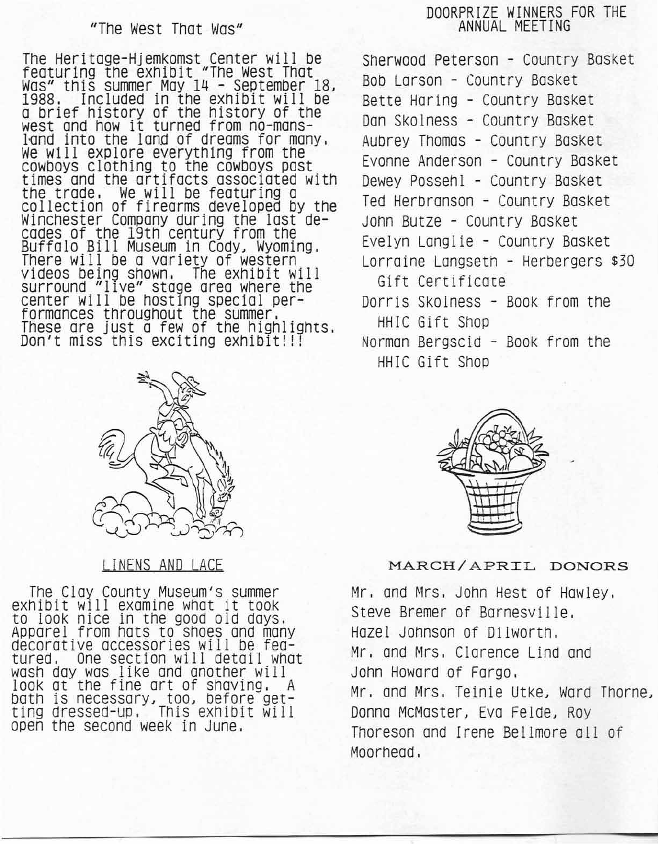# "The West That Was"

The Heritage-Hjemkomst Center will be featuring the exhibit "The West That Was" this summer May 14 - September 18~ 1988. Included in the exhibit will be a brief history of the history of the west and how it turned from no-mansland into the land of dreams for many, We will explore everything from the cowboys clothing to the cowboys past times and the artifacts associated with the trade. We will be featuring a collection of firearms developed by the Winchester Company during the last decades of the 19th century from the Buffalo Bill Museum in Cody, Wyoming. There will be a variety of western videos being shown, The exhibit will surround "lIve" stage area where the center will be hosting special performances throughout the summer, These are just a few of the highlights. Don't miss this exciting eXhibit!!!



# LINENS AND LACE

The Clay County Museum's summer exhibit will examine what it tOOk to loOk nice in the good old days. APparel from hats to shoes and many decorative accessories will be featured. One section will detail what wash day was like and another will look at" the fine art of shaving. A bath is necessary, too, before getting dressed-Up, This exhibit will open the second week in June.

# DOORPRIZE WINNERS FOR THE ANNUAL MEETING

Sherwood Peterson - Country Basket Bob Larson - Country Basket Bette Haring - Country Basket Dan Skolness - Country Basket Aubrey Thomas - Country Basket Evonne Anderson - Country Basket Dewey Possehl - Country Basket Ted Herbranson - Country Basket John Butze - Country Basket Evelyn Langlie - Country BaSket Lorraine Longsetn - Herbergers \$30 Gift Certificate Dorris Skolness - Book from the

HHIC Gift Shop Norman Bergscid - Book from the

HHIC Gift Shop



### MARCH/APRIL DONORS

Mr. and Mrs. John Hest of Hawley, Steve Bremer of Barnesville. Hazel Johnson of Dilworth. Mr. and Mrs. Clarence Lind and John Howard of Fargo, Mr. and Mrs. Teinie Utke, Ward Thorne~ Donna McMaster, Eva Felde, Roy Thoreson and Irene Bellmore all of Moorhead.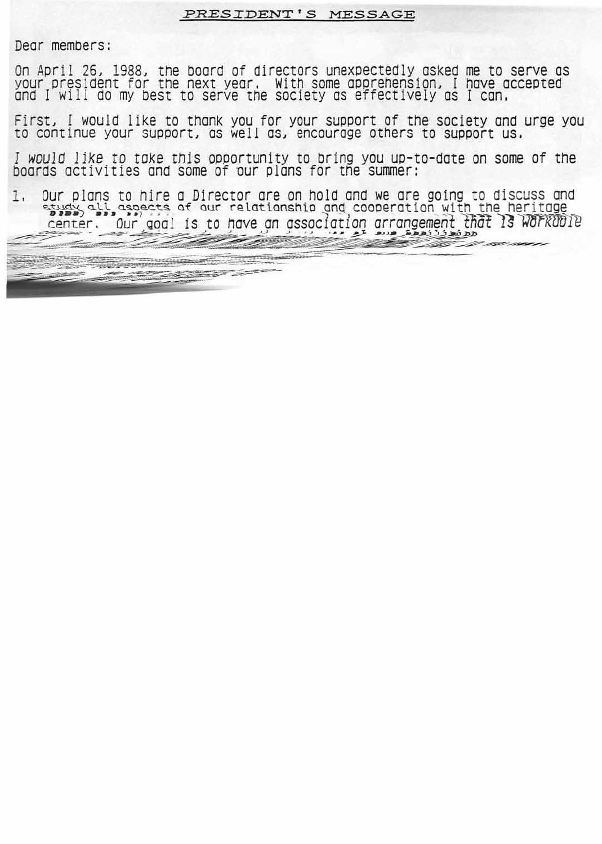#### PRESIDENT'S MESSAGE

Dear members:

--~~~~~~~~~~~~~----------

~~~~~~~~~~:\_:'-' '-,-

On April 26, 1988, the board of directors unexpectedly asked me to serve as your president for the next year. With some apprehension, I have accepted and  $I$  will do my best to serve the society as effectively as  $I$  can.

First, I would like to thank you for your support of the society and urge you to continue your support, as well as, encourage others to support us.

*I woulO l1ke* to *toke* this opportunity to bring you up-to-date on some of the boards activities and some of 'our plans for the summer:

I, Our plans to hire a Director are on hold and we are going to discuss and et play all aspects of our relationship and cooperation with the heritage center. Our *Qoal* is to have on *aSSOcIatIon* arrangement <sup>17101</sup> *1]~]r~1Jl11~*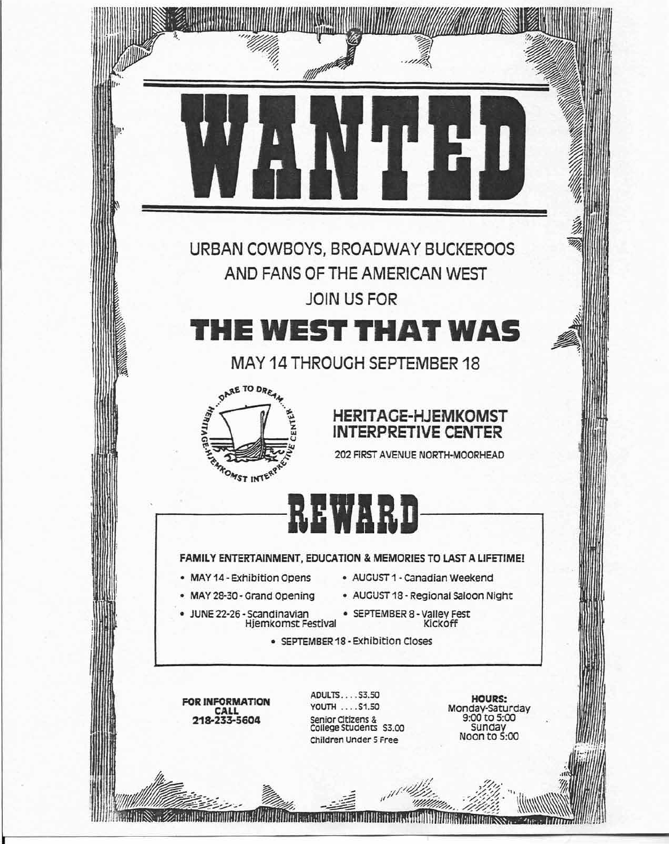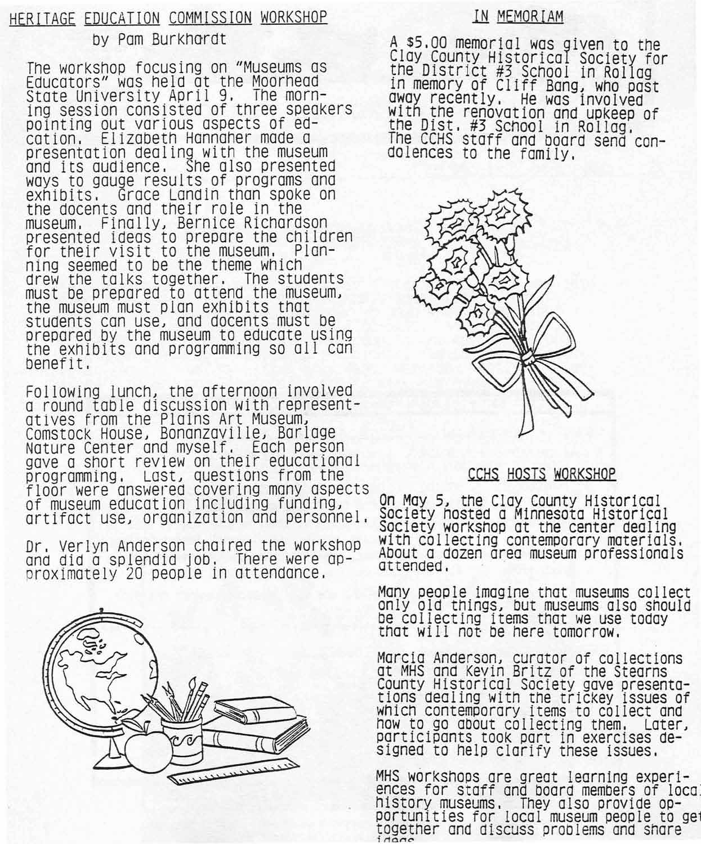# HERITAGE EDUCATION COMMISSION WORKSHOP by Pam Burkhardt

The workshop focusing on "Museums as Educators" was held at the Moorhead State University April 9, The morning session consisted of three speakers pointing out various aspects of ed-Elizabeth Hannaher made a presentation dealing with the museum and its audience, She also presented ways to gauge results of programs ana Grace Landin than spoke on the docents and their role in the museum. Finally. Bernice Richardson presented ideas to prepare the children for their visit to the museum, Planning seemed to be the theme which drew the talks together. The students must be prepared to attend the museum. the museum must plan exhibits that students can use, and docents must be prepared by the museum to educate using the exhibits and programming so all con benefit.

Following lunch. the afternoon involved a round table discussion with representatives from the Plains Art Museum. Comstock House, Bonanzaville, Barlage Nature Center and mvself. Each person gave a short review-on their educational programming. Lost. questions from the floor were answerea covering many aspects of museum education including funding. artifact use. organization and personnel.

Dr, Verlyn Anderson chaired the workshop and did a splendid job, There were approximately 20 people in attendance.



# IN MEMORIAM

A \$5,00 memorial was given to the Clay County Historical Society for the DIstrIct #3 SChool in Rollag In memory of Cliff Bang. who past away recently. He was involved WIth the renovation and UPkeep of the DISt. #3 SChool in Rollag, The CCHS Staff and board send con- dolences to the family.



# CCHS HOSTS WORKSHOP

On May 5. the Clay County Historical Society hosted a Minnesota Historical Society workshop at the center dealing with collecting contemporary materials, About a dozen area museum professionals attended,

Many people imagine that museums collect<br>only old things, but museums also should be collecting items that we use today that will not be here tomorrow,

Marcia Anderson. curator of collections at MHS and Kevin Britz of the Stearns County Historical Society gave presentations dealing with the trickey issues of whiCh contemporary items to collect and how to go about collecting them, Later. participants took part in exercises designed to help clarify these issues,

MHS workshops are great learning experiences for staff and board members of local history museums. They also provide opportunities for local museum people to get<br>together and discuss problems and share